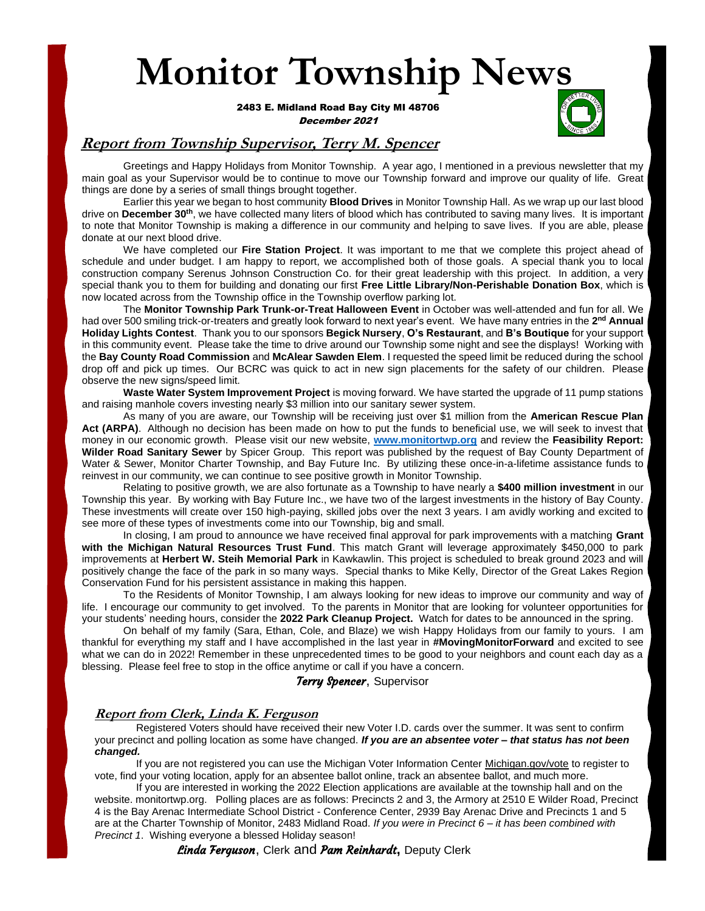# **Monitor Township News**

**Dec** 2483 E. Midland Road Bay City MI 48706 December 2021



### **Report from Township Supervisor, Terry M. Spencer**

Greetings and Happy Holidays from Monitor Township. A year ago, I mentioned in a previous newsletter that my main goal as your Supervisor would be to continue to move our Township forward and improve our quality of life. Great things are done by a series of small things brought together.

Earlier this year we began to host community **Blood Drives** in Monitor Township Hall. As we wrap up our last blood drive on **December 30th**, we have collected many liters of blood which has contributed to saving many lives. It is important to note that Monitor Township is making a difference in our community and helping to save lives. If you are able, please donate at our next blood drive.

We have completed our **Fire Station Project**. It was important to me that we complete this project ahead of schedule and under budget. I am happy to report, we accomplished both of those goals. A special thank you to local construction company Serenus Johnson Construction Co. for their great leadership with this project. In addition, a very special thank you to them for building and donating our first **Free Little Library/Non-Perishable Donation Box**, which is now located across from the Township office in the Township overflow parking lot.

The **Monitor Township Park Trunk-or-Treat Halloween Event** in October was well-attended and fun for all. We had over 500 smiling trick-or-treaters and greatly look forward to next year's event. We have many entries in the 2<sup>nd</sup> Annual **Holiday Lights Contest**. Thank you to our sponsors **Begick Nursery**, **O's Restaurant**, and **B's Boutique** for your support in this community event. Please take the time to drive around our Township some night and see the displays! Working with the **Bay County Road Commission** and **McAlear Sawden Elem**. I requested the speed limit be reduced during the school drop off and pick up times. Our BCRC was quick to act in new sign placements for the safety of our children. Please observe the new signs/speed limit.

**Waste Water System Improvement Project** is moving forward. We have started the upgrade of 11 pump stations and raising manhole covers investing nearly \$3 million into our sanitary sewer system.

As many of you are aware, our Township will be receiving just over \$1 million from the **American Rescue Plan Act (ARPA)**. Although no decision has been made on how to put the funds to beneficial use, we will seek to invest that money in our economic growth. Please visit our new website, **[www.monitortwp.org](http://www.monitortwp.org/)** and review the **Feasibility Report: Wilder Road Sanitary Sewer** by Spicer Group. This report was published by the request of Bay County Department of Water & Sewer, Monitor Charter Township, and Bay Future Inc. By utilizing these once-in-a-lifetime assistance funds to reinvest in our community, we can continue to see positive growth in Monitor Township.

Relating to positive growth, we are also fortunate as a Township to have nearly a **\$400 million investment** in our Township this year. By working with Bay Future Inc., we have two of the largest investments in the history of Bay County. These investments will create over 150 high-paying, skilled jobs over the next 3 years. I am avidly working and excited to see more of these types of investments come into our Township, big and small.

In closing, I am proud to announce we have received final approval for park improvements with a matching **Grant with the Michigan Natural Resources Trust Fund**. This match Grant will leverage approximately \$450,000 to park improvements at **Herbert W. Steih Memorial Park** in Kawkawlin. This project is scheduled to break ground 2023 and will positively change the face of the park in so many ways. Special thanks to Mike Kelly, Director of the Great Lakes Region Conservation Fund for his persistent assistance in making this happen.

To the Residents of Monitor Township, I am always looking for new ideas to improve our community and way of life. I encourage our community to get involved. To the parents in Monitor that are looking for volunteer opportunities for your students' needing hours, consider the **2022 Park Cleanup Project.** Watch for dates to be announced in the spring.

 On behalf of my family (Sara, Ethan, Cole, and Blaze) we wish Happy Holidays from our family to yours. I am thankful for everything my staff and I have accomplished in the last year in **#MovingMonitorForward** and excited to see what we can do in 2022! Remember in these unprecedented times to be good to your neighbors and count each day as a blessing. Please feel free to stop in the office anytime or call if you have a concern.

#### Terry Spencer, Supervisor

#### **Report from Clerk, Linda K. Ferguson**

Registered Voters should have received their new Voter I.D. cards over the summer. It was sent to confirm<br>Sinct and polling location as some house changed. If you are an absorted vater. that atatus has not been your precinct and polling location as some have changed. *If you are an absentee voter – that status has not been changed.*

If you are not registered you can use the Michigan Voter Information Center Michigan.gov/vote to register to vote, find your voting location, apply for an absentee ballot online, track an absentee ballot, and much more.

 If you are interested in working the 2022 Election applications are available at the township hall and on the website. monitortwp.org. Polling places are as follows: Precincts 2 and 3, the Armory at 2510 E Wilder Road, Precinct are at the Charter Township of Monitor, 2483 Midland Road. *If you were in Precinct 6 – it has been combined with*  4 is the Bay Arenac Intermediate School District - Conference Center, 2939 Bay Arenac Drive and Precincts 1 and 5 *Precinct 1*. Wishing everyone a blessed Holiday season!

*Linda Ferguson,* **Clerk and** *Pam Reinhardt,* **Deputy Clerk**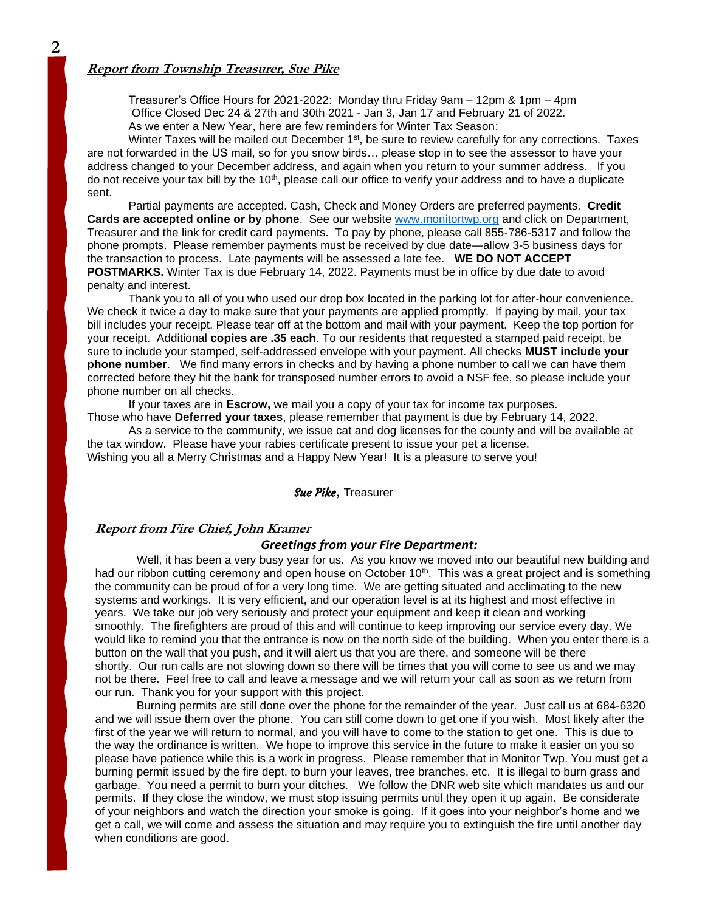#### **Report from Township Treasurer, Sue Pike**

Treasurer's Office Hours for 2021-2022: Monday thru Friday 9am – 12pm & 1pm – 4pm Office Closed Dec 24 & 27th and 30th 2021 - Jan 3, Jan 17 and February 21 of 2022. As we enter a New Year, here are few reminders for Winter Tax Season:

Winter Taxes will be mailed out December  $1<sup>st</sup>$ , be sure to review carefully for any corrections. Taxes are not forwarded in the US mail, so for you snow birds… please stop in to see the assessor to have your address changed to your December address, and again when you return to your summer address. If you do not receive your tax bill by the 10<sup>th</sup>, please call our office to verify your address and to have a duplicate sent.

Partial payments are accepted. Cash, Check and Money Orders are preferred payments. **Credit Cards are accepted online or by phone**. See our website [www.monitortwp.org](http://www.monitortwp.org/) and click on Department, Treasurer and the link for credit card payments. To pay by phone, please call 855-786-5317 and follow the phone prompts. Please remember payments must be received by due date—allow 3-5 business days for the transaction to process. Late payments will be assessed a late fee. **WE DO NOT ACCEPT POSTMARKS.** Winter Tax is due February 14, 2022. Payments must be in office by due date to avoid penalty and interest.

Thank you to all of you who used our drop box located in the parking lot for after-hour convenience. We check it twice a day to make sure that your payments are applied promptly. If paying by mail, your tax bill includes your receipt. Please tear off at the bottom and mail with your payment. Keep the top portion for your receipt. Additional **copies are .35 each**. To our residents that requested a stamped paid receipt, be sure to include your stamped, self-addressed envelope with your payment. All checks **MUST include your phone number**. We find many errors in checks and by having a phone number to call we can have them corrected before they hit the bank for transposed number errors to avoid a NSF fee, so please include your phone number on all checks.

If your taxes are in **Escrow,** we mail you a copy of your tax for income tax purposes. Those who have **Deferred your taxes**, please remember that payment is due by February 14, 2022.

As a service to the community, we issue cat and dog licenses for the county and will be available at the tax window. Please have your rabies certificate present to issue your pet a license. Wishing you all a Merry Christmas and a Happy New Year! It is a pleasure to serve you!

#### Sue Pike, Treasurer

#### **Report from Fire Chief, John Kramer**

#### *Greetings from your Fire Department:*

Well, it has been a very busy year for us. As you know we moved into our beautiful new building and had our ribbon cutting ceremony and open house on October 10<sup>th</sup>. This was a great project and is something the community can be proud of for a very long time. We are getting situated and acclimating to the new systems and workings. It is very efficient, and our operation level is at its highest and most effective in years. We take our job very seriously and protect your equipment and keep it clean and working smoothly. The firefighters are proud of this and will continue to keep improving our service every day. We would like to remind you that the entrance is now on the north side of the building. When you enter there is a button on the wall that you push, and it will alert us that you are there, and someone will be there shortly. Our run calls are not slowing down so there will be times that you will come to see us and we may not be there. Feel free to call and leave a message and we will return your call as soon as we return from our run. Thank you for your support with this project.

Burning permits are still done over the phone for the remainder of the year. Just call us at 684-6320 and we will issue them over the phone. You can still come down to get one if you wish. Most likely after the first of the year we will return to normal, and you will have to come to the station to get one. This is due to the way the ordinance is written. We hope to improve this service in the future to make it easier on you so please have patience while this is a work in progress. Please remember that in Monitor Twp. You must get a burning permit issued by the fire dept. to burn your leaves, tree branches, etc. It is illegal to burn grass and garbage. You need a permit to burn your ditches. We follow the DNR web site which mandates us and our permits. If they close the window, we must stop issuing permits until they open it up again. Be considerate of your neighbors and watch the direction your smoke is going. If it goes into your neighbor's home and we get a call, we will come and assess the situation and may require you to extinguish the fire until another day when conditions are good. Sue Pike**, Treasurer**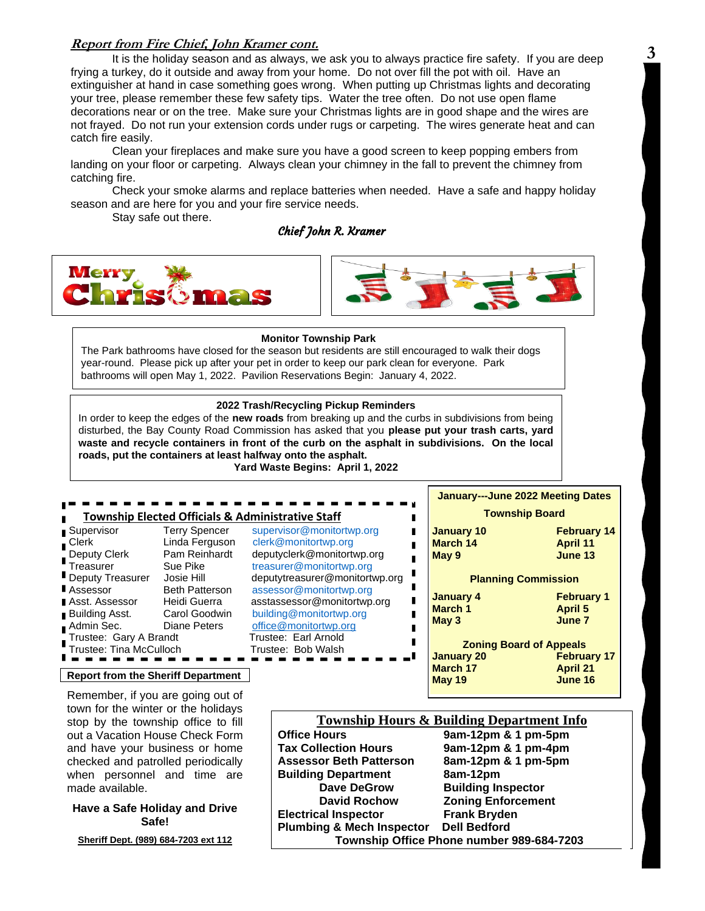#### **Report from Fire Chief, John Kramer cont.**

It is the holiday season and as always, we ask you to always practice fire safety. If you are deep frying a turkey, do it outside and away from your home. Do not over fill the pot with oil. Have an extinguisher at hand in case something goes wrong. When putting up Christmas lights and decorating your tree, please remember these few safety tips. Water the tree often. Do not use open flame decorations near or on the tree. Make sure your Christmas lights are in good shape and the wires are not frayed. Do not run your extension cords under rugs or carpeting. The wires generate heat and can catch fire easily.

Clean your fireplaces and make sure you have a good screen to keep popping embers from landing on your floor or carpeting. Always clean your chimney in the fall to prevent the chimney from catching fire.

Check your smoke alarms and replace batteries when needed. Have a safe and happy holiday season and are here for you and your fire service needs.

Stay safe out there.

#### Chief John R. Kramer





#### **Monitor Township Park**

The Park bathrooms have closed for the season but residents are still encouraged to walk their dogs year-round. Please pick up after your pet in order to keep our park clean for everyone. Park bathrooms will open May 1, 2022. Pavilion Reservations Begin: January 4, 2022.

#### **2022 Trash/Recycling Pickup Reminders**

In order to keep the edges of the **new roads** from breaking up and the curbs in subdivisions from being disturbed, the Bay County Road Commission has asked that you **please put your trash carts, yard waste and recycle containers in front of the curb on the asphalt in subdivisions. On the local roads, put the containers at least halfway onto the asphalt.**

**Yard Waste Begins: April 1, 2022**

#### **Township Elected Officials & Administrative Staff**

| <b>■</b> Supervisor     | <b>Terry Spence</b>  |
|-------------------------|----------------------|
| Clerk                   | Linda Fergus         |
| Deputy Clerk            | Pam Reinhar          |
| Treasurer               | Sue Pike             |
| Deputy Treasurer        | Josie Hill           |
| Assessor                | <b>Beth Patterso</b> |
| Asst. Assessor          | Heidi Guerra         |
| <b>Building Asst.</b>   | Carol Goodwi         |
| Admin Sec.              | Diane Peters         |
| Trustee: Gary A Brandt  |                      |
| Trustee: Tina McCulloch |                      |
|                         |                      |

**Report from the Sheriff Department**

Remember, if you are going out of town for the winter or the holidays stop by the township office to fill out a Vacation House Check Form and have your business or home checked and patrolled periodically when personnel and time are made available.

#### **Have a Safe Holiday and Drive Safe!**

**Sheriff Dept. (989) 684-7203 ext 112**

er [supervisor@monitortwp.org](mailto:supervisor@monitortwp.org) on [clerk@monitortwp.org](mailto:clerk@monitortwp.org) dt deputyclerk@monitortwp.org [treasurer@monitortwp.org](mailto:treasurer@monitortwp.org) deputytreasurer@monitortwp.org on [assessor@monitortwp.org](mailto:assessor@monitortwp.org) asstassessor@monitortwp.org in [building@monitortwp.org](mailto:building@monitortwp.org) [office@monitortwp.org](mailto:office@monitortwp.org) Trustee: Earl Arnold Trustee: Bob Walsh

## **January---June 2022 Meeting Dates Township Board January 10 February 14 March 14 April 11 May 9 June 13 Planning Commission January 4 February 1 March 1 May 3 June 7 Zoning Board of Appeals January 20 February 17 March 17 April 21 May 19 June 16**

# **Township Hours & Building Department Info**<br>Office Hours 9am-12pm & 1 pm-5pm

П П П

П п П П

**Office Hours 9am-12pm & 1 pm-5pm Tax Collection Hours 9am-12pm & 1 pm-4pm Assessor Beth Patterson 8am-12pm & 1 pm-5pm Building Department 8am-12pm Dave DeGrow Building Inspector David Rochow Zoning Enforcement Electrical Inspector Frank Bryden Plumbing & Mech Inspector Dell Bedford Township Office Phone number 989-684-7203**